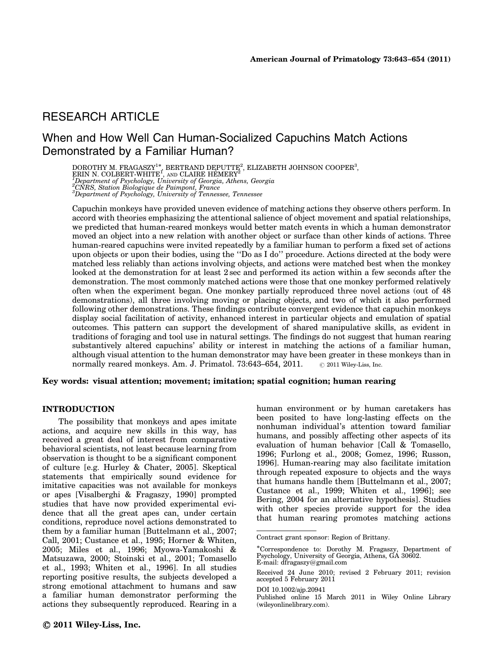# RESEARCH ARTICLE

# When and How Well Can Human-Socialized Capuchins Match Actions Demonstrated by a Familiar Human?

DOROTHY M. FRAGASZY<sup>1\*</sup>, BERTRAND DEPUTTE<sup>2</sup>, ELIZABETH JOHNSON COOPER<sup>3</sup>, ERIN N. COLBERT-WHITE<sup>1</sup>, AND CLAIRE HEMERY<sup>2</sup><br><sup>1</sup>Department of Psychology, University of Georgia, Athens, Georgia<br><sup>2</sup>CNRS, Station Biologique de P

Capuchin monkeys have provided uneven evidence of matching actions they observe others perform. In accord with theories emphasizing the attentional salience of object movement and spatial relationships, we predicted that human-reared monkeys would better match events in which a human demonstrator moved an object into a new relation with another object or surface than other kinds of actions. Three human-reared capuchins were invited repeatedly by a familiar human to perform a fixed set of actions upon objects or upon their bodies, using the ''Do as I do'' procedure. Actions directed at the body were matched less reliably than actions involving objects, and actions were matched best when the monkey looked at the demonstration for at least 2 sec and performed its action within a few seconds after the demonstration. The most commonly matched actions were those that one monkey performed relatively often when the experiment began. One monkey partially reproduced three novel actions (out of 48 demonstrations), all three involving moving or placing objects, and two of which it also performed following other demonstrations. These findings contribute convergent evidence that capuchin monkeys display social facilitation of activity, enhanced interest in particular objects and emulation of spatial outcomes. This pattern can support the development of shared manipulative skills, as evident in traditions of foraging and tool use in natural settings. The findings do not suggest that human rearing substantively altered capuchins' ability or interest in matching the actions of a familiar human, although visual attention to the human demonstrator may have been greater in these monkeys than in normally reared monkeys. Am. J. Primatol.  $73:643-654$ ,  $2011.$   $\circ$  2011 Wiley-Liss, Inc.

## Key words: visual attention; movement; imitation; spatial cognition; human rearing

# INTRODUCTION

The possibility that monkeys and apes imitate actions, and acquire new skills in this way, has received a great deal of interest from comparative behavioral scientists, not least because learning from observation is thought to be a significant component of culture [e.g. Hurley & Chater, 2005]. Skeptical statements that empirically sound evidence for imitative capacities was not available for monkeys or apes [Visalberghi & Fragaszy, 1990] prompted studies that have now provided experimental evidence that all the great apes can, under certain conditions, reproduce novel actions demonstrated to them by a familiar human [Buttelmann et al., 2007; Call, 2001; Custance et al., 1995; Horner & Whiten, 2005; Miles et al., 1996; Myowa-Yamakoshi & Matsuzawa, 2000; Stoinski et al., 2001; Tomasello et al., 1993; Whiten et al., 1996]. In all studies reporting positive results, the subjects developed a strong emotional attachment to humans and saw a familiar human demonstrator performing the actions they subsequently reproduced. Rearing in a human environment or by human caretakers has been posited to have long-lasting effects on the nonhuman individual's attention toward familiar humans, and possibly affecting other aspects of its evaluation of human behavior [Call & Tomasello, 1996; Furlong et al., 2008; Gomez, 1996; Russon, 1996]. Human-rearing may also facilitate imitation through repeated exposure to objects and the ways that humans handle them [Buttelmann et al., 2007; Custance et al., 1999; Whiten et al., 1996]; see Bering, 2004 for an alternative hypothesis]. Studies with other species provide support for the idea that human rearing promotes matching actions

DOI 10.1002/ajp.20941

Contract grant sponsor: Region of Brittany.

<sup>-</sup>Correspondence to: Dorothy M. Fragaszy, Department of Psychology, University of Georgia, Athens, GA 30602. E-mail: dfragaszy@gmail.com

Received 24 June 2010; revised 2 February 2011; revision accepted 5 February 2011

Published online 15 March 2011 in Wiley Online Library (wileyonlinelibrary.com).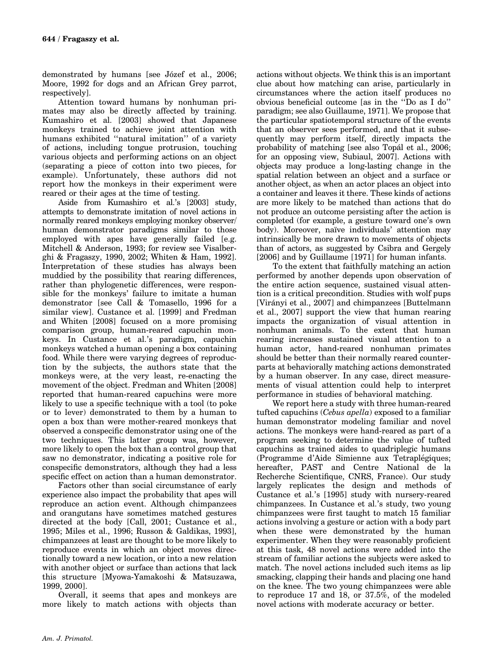demonstrated by humans [see Józef et al., 2006; Moore, 1992 for dogs and an African Grey parrot, respectively].

Attention toward humans by nonhuman primates may also be directly affected by training. Kumashiro et al. [2003] showed that Japanese monkeys trained to achieve joint attention with humans exhibited ''natural imitation'' of a variety of actions, including tongue protrusion, touching various objects and performing actions on an object (separating a piece of cotton into two pieces, for example). Unfortunately, these authors did not report how the monkeys in their experiment were reared or their ages at the time of testing.

Aside from Kumashiro et al.'s [2003] study, attempts to demonstrate imitation of novel actions in normally reared monkeys employing monkey observer/ human demonstrator paradigms similar to those employed with apes have generally failed [e.g. Mitchell & Anderson, 1993; for review see Visalberghi & Fragaszy, 1990, 2002; Whiten & Ham, 1992]. Interpretation of these studies has always been muddied by the possibility that rearing differences, rather than phylogenetic differences, were responsible for the monkeys' failure to imitate a human demonstrator [see Call & Tomasello, 1996 for a similar view]. Custance et al. [1999] and Fredman and Whiten [2008] focused on a more promising comparison group, human-reared capuchin monkeys. In Custance et al.'s paradigm, capuchin monkeys watched a human opening a box containing food. While there were varying degrees of reproduction by the subjects, the authors state that the monkeys were, at the very least, re-enacting the movement of the object. Fredman and Whiten [2008] reported that human-reared capuchins were more likely to use a specific technique with a tool (to poke or to lever) demonstrated to them by a human to open a box than were mother-reared monkeys that observed a conspecific demonstrator using one of the two techniques. This latter group was, however, more likely to open the box than a control group that saw no demonstrator, indicating a positive role for conspecific demonstrators, although they had a less specific effect on action than a human demonstrator.

Factors other than social circumstance of early experience also impact the probability that apes will reproduce an action event. Although chimpanzees and orangutans have sometimes matched gestures directed at the body [Call, 2001; Custance et al., 1995; Miles et al., 1996; Russon & Galdikas, 1993], chimpanzees at least are thought to be more likely to reproduce events in which an object moves directionally toward a new location, or into a new relation with another object or surface than actions that lack this structure [Myowa-Yamakoshi & Matsuzawa, 1999, 2000].

Overall, it seems that apes and monkeys are more likely to match actions with objects than

actions without objects. We think this is an important clue about how matching can arise, particularly in circumstances where the action itself produces no obvious beneficial outcome [as in the ''Do as I do'' paradigm; see also Guillaume, 1971]. We propose that the particular spatiotemporal structure of the events that an observer sees performed, and that it subsequently may perform itself, directly impacts the probability of matching [see also Topa<sup>1</sup> et al., 2006; for an opposing view, Subiaul, 2007]. Actions with objects may produce a long-lasting change in the spatial relation between an object and a surface or another object, as when an actor places an object into a container and leaves it there. These kinds of actions are more likely to be matched than actions that do not produce an outcome persisting after the action is completed (for example, a gesture toward one's own body). Moreover, naïve individuals' attention may intrinsically be more drawn to movements of objects than of actors, as suggested by Csibra and Gergely [2006] and by Guillaume [1971] for human infants.

To the extent that faithfully matching an action performed by another depends upon observation of the entire action sequence, sustained visual attention is a critical precondition. Studies with wolf pups [Virányi et al., 2007] and chimpanzees [Buttelmann et al., 2007] support the view that human rearing impacts the organization of visual attention in nonhuman animals. To the extent that human rearing increases sustained visual attention to a human actor, hand-reared nonhuman primates should be better than their normally reared counterparts at behaviorally matching actions demonstrated by a human observer. In any case, direct measurements of visual attention could help to interpret performance in studies of behavioral matching.

We report here a study with three human-reared tufted capuchins (Cebus apella) exposed to a familiar human demonstrator modeling familiar and novel actions. The monkeys were hand-reared as part of a program seeking to determine the value of tufted capuchins as trained aides to quadriplegic humans (Programme d'Aide Simienne aux Tetraplégiques; hereafter, PAST and Centre National de la Recherche Scientifique, CNRS, France). Our study largely replicates the design and methods of Custance et al.'s [1995] study with nursery-reared chimpanzees. In Custance et al.'s study, two young chimpanzees were first taught to match 15 familiar actions involving a gesture or action with a body part when these were demonstrated by the human experimenter. When they were reasonably proficient at this task, 48 novel actions were added into the stream of familiar actions the subjects were asked to match. The novel actions included such items as lip smacking, clapping their hands and placing one hand on the knee. The two young chimpanzees were able to reproduce 17 and 18, or 37.5%, of the modeled novel actions with moderate accuracy or better.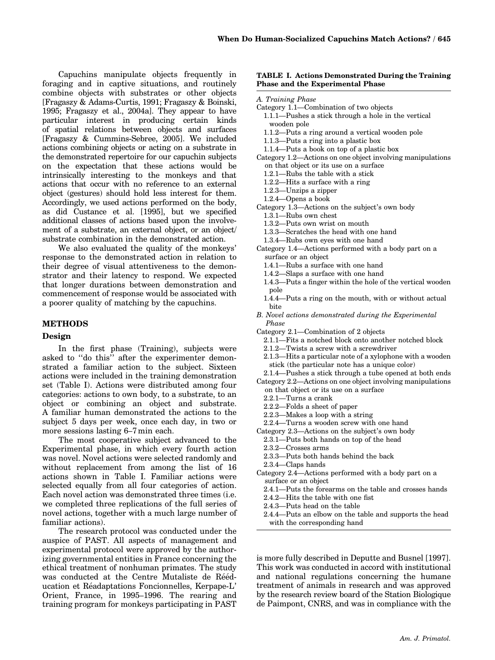Capuchins manipulate objects frequently in foraging and in captive situations, and routinely combine objects with substrates or other objects [Fragaszy & Adams-Curtis, 1991; Fragaszy & Boinski, 1995; Fragaszy et al., 2004a]. They appear to have particular interest in producing certain kinds of spatial relations between objects and surfaces [Fragaszy & Cummins-Sebree, 2005]. We included actions combining objects or acting on a substrate in the demonstrated repertoire for our capuchin subjects on the expectation that these actions would be intrinsically interesting to the monkeys and that actions that occur with no reference to an external object (gestures) should hold less interest for them. Accordingly, we used actions performed on the body, as did Custance et al. [1995], but we specified additional classes of actions based upon the involvement of a substrate, an external object, or an object/ substrate combination in the demonstrated action.

We also evaluated the quality of the monkeys' response to the demonstrated action in relation to their degree of visual attentiveness to the demonstrator and their latency to respond. We expected that longer durations between demonstration and commencement of response would be associated with a poorer quality of matching by the capuchins.

## METHODS

## Design

In the first phase (Training), subjects were asked to ''do this'' after the experimenter demonstrated a familiar action to the subject. Sixteen actions were included in the training demonstration set (Table I). Actions were distributed among four categories: actions to own body, to a substrate, to an object or combining an object and substrate. A familiar human demonstrated the actions to the subject 5 days per week, once each day, in two or more sessions lasting 6–7 min each.

The most cooperative subject advanced to the Experimental phase, in which every fourth action was novel. Novel actions were selected randomly and without replacement from among the list of 16 actions shown in Table I. Familiar actions were selected equally from all four categories of action. Each novel action was demonstrated three times (i.e. we completed three replications of the full series of novel actions, together with a much large number of familiar actions).

The research protocol was conducted under the auspice of PAST. All aspects of management and experimental protocol were approved by the authorizing governmental entities in France concerning the ethical treatment of nonhuman primates. The study was conducted at the Centre Mutaliste de Rééducation et Réadaptations Foncionnelles, Kerpape-L' Orient, France, in 1995–1996. The rearing and training program for monkeys participating in PAST

#### TABLE I. Actions Demonstrated During the Training Phase and the Experimental Phase

#### A. Training Phase

- Category 1.1—Combination of two objects
	- 1.1.1—Pushes a stick through a hole in the vertical wooden pole
	- 1.1.2—Puts a ring around a vertical wooden pole
	- 1.1.3—Puts a ring into a plastic box
- 1.1.4—Puts a book on top of a plastic box
- Category 1.2—Actions on one object involving manipulations on that object or its use on a surface
	- 1.2.1—Rubs the table with a stick
	- 1.2.2—Hits a surface with a ring
	- 1.2.3—Unzips a zipper
	- 1.2.4—Opens a book
- Category 1.3—Actions on the subject's own body
	- 1.3.1—Rubs own chest
	- 1.3.2—Puts own wrist on mouth
	- 1.3.3—Scratches the head with one hand
	- 1.3.4—Rubs own eyes with one hand
- Category 1.4—Actions performed with a body part on a surface or an object
	- 1.4.1—Rubs a surface with one hand
	- 1.4.2—Slaps a surface with one hand
	- 1.4.3—Puts a finger within the hole of the vertical wooden pole
	- 1.4.4—Puts a ring on the mouth, with or without actual bite
- B. Novel actions demonstrated during the Experimental Phase
- Category 2.1—Combination of 2 objects
	- 2.1.1—Fits a notched block onto another notched block
	- 2.1.2—Twists a screw with a screwdriver
	- 2.1.3—Hits a particular note of a xylophone with a wooden stick (the particular note has a unique color)

2.1.4—Pushes a stick through a tube opened at both ends Category 2.2—Actions on one object involving manipulations

- on that object or its use on a surface
- 2.2.1—Turns a crank
- 2.2.2—Folds a sheet of paper
- 2.2.3—Makes a loop with a string
- 2.2.4—Turns a wooden screw with one hand
- Category 2.3—Actions on the subject's own body
	- 2.3.1—Puts both hands on top of the head
	- 2.3.2—Crosses arms
	- 2.3.3—Puts both hands behind the back
	- 2.3.4—Claps hands
- Category 2.4—Actions performed with a body part on a surface or an object
	- 2.4.1—Puts the forearms on the table and crosses hands
	- 2.4.2—Hits the table with one fist
	- 2.4.3—Puts head on the table
	- 2.4.4—Puts an elbow on the table and supports the head with the corresponding hand

is more fully described in Deputte and Busnel [1997]. This work was conducted in accord with institutional and national regulations concerning the humane treatment of animals in research and was approved by the research review board of the Station Biologique de Paimpont, CNRS, and was in compliance with the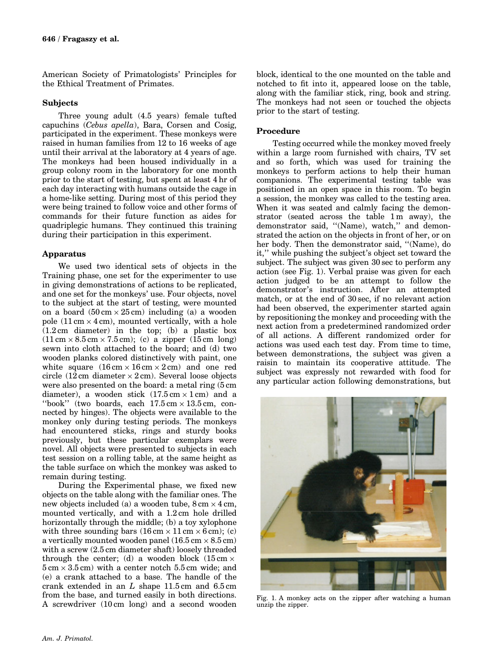American Society of Primatologists' Principles for the Ethical Treatment of Primates.

# Subjects

Three young adult (4.5 years) female tufted capuchins (Cebus apella), Bara, Corsen and Cosig, participated in the experiment. These monkeys were raised in human families from 12 to 16 weeks of age until their arrival at the laboratory at 4 years of age. The monkeys had been housed individually in a group colony room in the laboratory for one month prior to the start of testing, but spent at least 4 hr of each day interacting with humans outside the cage in a home-like setting. During most of this period they were being trained to follow voice and other forms of commands for their future function as aides for quadriplegic humans. They continued this training during their participation in this experiment.

# Apparatus

We used two identical sets of objects in the Training phase, one set for the experimenter to use in giving demonstrations of actions to be replicated, and one set for the monkeys' use. Four objects, novel to the subject at the start of testing, were mounted on a board  $(50 \text{ cm} \times 25 \text{ cm})$  including (a) a wooden pole  $(11 \text{ cm} \times 4 \text{ cm})$ , mounted vertically, with a hole  $(1.2 \text{ cm}$  diameter) in the top; (b) a plastic box  $(11 \text{ cm} \times 8.5 \text{ cm} \times 7.5 \text{ cm})$ ; (c) a zipper  $(15 \text{ cm} \text{ long})$ sewn into cloth attached to the board; and (d) two wooden planks colored distinctively with paint, one white square  $(16 \text{ cm} \times 16 \text{ cm} \times 2 \text{ cm})$  and one red circle  $(12 \text{ cm diameter} \times 2 \text{ cm})$ . Several loose objects were also presented on the board: a metal ring (5 cm diameter), a wooden stick  $(17.5 \text{ cm} \times 1 \text{ cm})$  and a "book" (two boards, each  $17.5 \text{ cm} \times 13.5 \text{ cm}$ , connected by hinges). The objects were available to the monkey only during testing periods. The monkeys had encountered sticks, rings and sturdy books previously, but these particular exemplars were novel. All objects were presented to subjects in each test session on a rolling table, at the same height as the table surface on which the monkey was asked to remain during testing.

During the Experimental phase, we fixed new objects on the table along with the familiar ones. The new objects included (a) a wooden tube,  $8\,\mathrm{cm} \times 4\,\mathrm{cm}$ , mounted vertically, and with a 1.2 cm hole drilled horizontally through the middle; (b) a toy xylophone with three sounding bars  $(16 \text{ cm} \times 11 \text{ cm} \times 6 \text{ cm})$ ; (c) a vertically mounted wooden panel  $(16.5\,\text{cm}\times 8.5\,\text{cm})$ with a screw (2.5 cm diameter shaft) loosely threaded through the center; (d) a wooden block  $(15 \text{ cm} \times$  $5 \text{ cm} \times 3.5 \text{ cm}$  with a center notch  $5.5 \text{ cm}$  wide; and (e) a crank attached to a base. The handle of the crank extended in an  $L$  shape  $11.5 \text{ cm}$  and  $6.5 \text{ cm}$ from the base, and turned easily in both directions. A screwdriver (10 cm long) and a second wooden block, identical to the one mounted on the table and notched to fit into it, appeared loose on the table, along with the familiar stick, ring, book and string. The monkeys had not seen or touched the objects prior to the start of testing.

# Procedure

Testing occurred while the monkey moved freely within a large room furnished with chairs, TV set and so forth, which was used for training the monkeys to perform actions to help their human companions. The experimental testing table was positioned in an open space in this room. To begin a session, the monkey was called to the testing area. When it was seated and calmly facing the demonstrator (seated across the table 1 m away), the demonstrator said, ''(Name), watch,'' and demonstrated the action on the objects in front of her, or on her body. Then the demonstrator said, ''(Name), do it,'' while pushing the subject's object set toward the subject. The subject was given 30 sec to perform any action (see Fig. 1). Verbal praise was given for each action judged to be an attempt to follow the demonstrator's instruction. After an attempted match, or at the end of 30 sec, if no relevant action had been observed, the experimenter started again by repositioning the monkey and proceeding with the next action from a predetermined randomized order of all actions. A different randomized order for actions was used each test day. From time to time, between demonstrations, the subject was given a raisin to maintain its cooperative attitude. The subject was expressly not rewarded with food for any particular action following demonstrations, but



Fig. 1. A monkey acts on the zipper after watching a human unzip the zipper.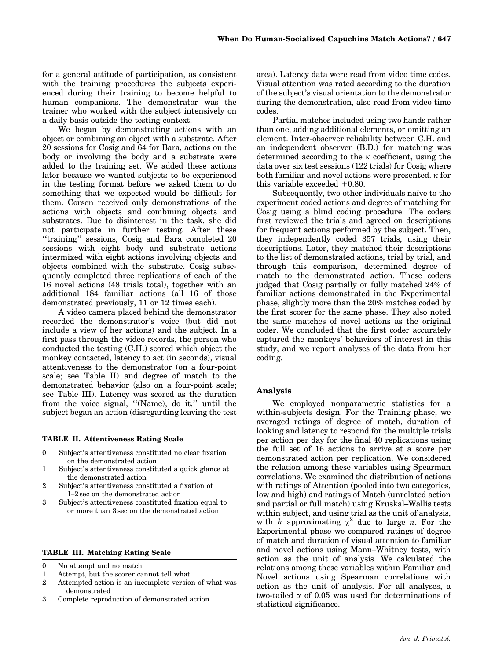for a general attitude of participation, as consistent with the training procedures the subjects experienced during their training to become helpful to human companions. The demonstrator was the trainer who worked with the subject intensively on a daily basis outside the testing context.

We began by demonstrating actions with an object or combining an object with a substrate. After 20 sessions for Cosig and 64 for Bara, actions on the body or involving the body and a substrate were added to the training set. We added these actions later because we wanted subjects to be experienced in the testing format before we asked them to do something that we expected would be difficult for them. Corsen received only demonstrations of the actions with objects and combining objects and substrates. Due to disinterest in the task, she did not participate in further testing. After these ''training'' sessions, Cosig and Bara completed 20 sessions with eight body and substrate actions intermixed with eight actions involving objects and objects combined with the substrate. Cosig subsequently completed three replications of each of the 16 novel actions (48 trials total), together with an additional 184 familiar actions (all 16 of those demonstrated previously, 11 or 12 times each).

A video camera placed behind the demonstrator recorded the demonstrator's voice (but did not include a view of her actions) and the subject. In a first pass through the video records, the person who conducted the testing (C.H.) scored which object the monkey contacted, latency to act (in seconds), visual attentiveness to the demonstrator (on a four-point scale; see Table II) and degree of match to the demonstrated behavior (also on a four-point scale; see Table III). Latency was scored as the duration from the voice signal, ''(Name), do it,'' until the subject began an action (disregarding leaving the test

#### TABLE II. Attentiveness Rating Scale

- 0 Subject's attentiveness constituted no clear fixation on the demonstrated action
- 1 Subject's attentiveness constituted a quick glance at the demonstrated action
- 2 Subject's attentiveness constituted a fixation of 1–2 sec on the demonstrated action
- 3 Subject's attentiveness constituted fixation equal to or more than 3 sec on the demonstrated action

#### TABLE III. Matching Rating Scale

- 0 No attempt and no match
- 1 Attempt, but the scorer cannot tell what
- 2 Attempted action is an incomplete version of what was demonstrated
- 3 Complete reproduction of demonstrated action

area). Latency data were read from video time codes. Visual attention was rated according to the duration of the subject's visual orientation to the demonstrator during the demonstration, also read from video time codes.

Partial matches included using two hands rather than one, adding additional elements, or omitting an element. Inter-observer reliability between C.H. and an independent observer (B.D.) for matching was determined according to the  $\kappa$  coefficient, using the data over six test sessions (122 trials) for Cosig where both familiar and novel actions were presented. k for this variable exceeded  $+0.80$ .

Subsequently, two other individuals naïve to the experiment coded actions and degree of matching for Cosig using a blind coding procedure. The coders first reviewed the trials and agreed on descriptions for frequent actions performed by the subject. Then, they independently coded 357 trials, using their descriptions. Later, they matched their descriptions to the list of demonstrated actions, trial by trial, and through this comparison, determined degree of match to the demonstrated action. These coders judged that Cosig partially or fully matched 24% of familiar actions demonstrated in the Experimental phase, slightly more than the 20% matches coded by the first scorer for the same phase. They also noted the same matches of novel actions as the original coder. We concluded that the first coder accurately captured the monkeys' behaviors of interest in this study, and we report analyses of the data from her coding.

#### Analysis

We employed nonparametric statistics for a within-subjects design. For the Training phase, we averaged ratings of degree of match, duration of looking and latency to respond for the multiple trials per action per day for the final 40 replications using the full set of 16 actions to arrive at a score per demonstrated action per replication. We considered the relation among these variables using Spearman correlations. We examined the distribution of actions with ratings of Attention (pooled into two categories, low and high) and ratings of Match (unrelated action and partial or full match) using Kruskal–Wallis tests within subject, and using trial as the unit of analysis, with h approximating  $\chi^2$  due to large n. For the Experimental phase we compared ratings of degree of match and duration of visual attention to familiar and novel actions using Mann–Whitney tests, with action as the unit of analysis. We calculated the relations among these variables within Familiar and Novel actions using Spearman correlations with action as the unit of analysis. For all analyses, a two-tailed  $\alpha$  of 0.05 was used for determinations of statistical significance.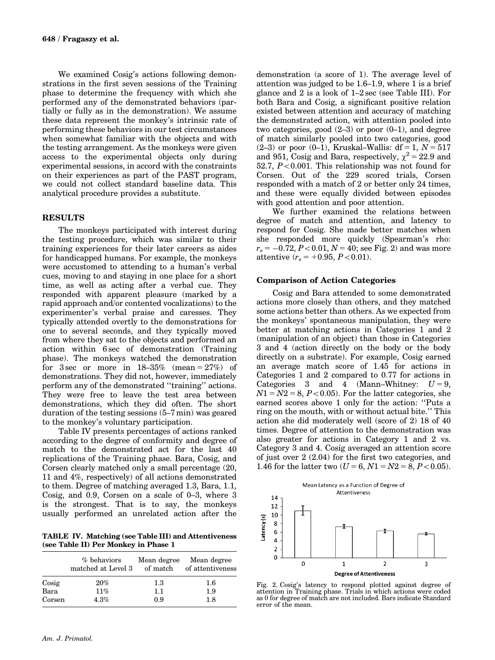We examined Cosig's actions following demonstrations in the first seven sessions of the Training phase to determine the frequency with which she performed any of the demonstrated behaviors (partially or fully as in the demonstration). We assume these data represent the monkey's intrinsic rate of performing these behaviors in our test circumstances when somewhat familiar with the objects and with the testing arrangement. As the monkeys were given access to the experimental objects only during experimental sessions, in accord with the constraints on their experiences as part of the PAST program, we could not collect standard baseline data. This analytical procedure provides a substitute.

#### RESULTS

The monkeys participated with interest during the testing procedure, which was similar to their training experiences for their later careers as aides for handicapped humans. For example, the monkeys were accustomed to attending to a human's verbal cues, moving to and staying in one place for a short time, as well as acting after a verbal cue. They responded with apparent pleasure (marked by a rapid approach and/or contented vocalizations) to the experimenter's verbal praise and caresses. They typically attended overtly to the demonstrations for one to several seconds, and they typically moved from where they sat to the objects and performed an action within 6 sec of demonstration (Training phase). The monkeys watched the demonstration for 3 sec or more in  $18-35\%$  (mean =  $27\%$ ) of demonstrations. They did not, however, immediately perform any of the demonstrated ''training'' actions. They were free to leave the test area between demonstrations, which they did often. The short duration of the testing sessions (5–7 min) was geared to the monkey's voluntary participation.

Table IV presents percentages of actions ranked according to the degree of conformity and degree of match to the demonstrated act for the last 40 replications of the Training phase. Bara, Cosig, and Corsen clearly matched only a small percentage (20, 11 and 4%, respectively) of all actions demonstrated to them. Degree of matching averaged 1.3, Bara, 1.1, Cosig, and 0.9, Corsen on a scale of 0–3, where 3 is the strongest. That is to say, the monkeys usually performed an unrelated action after the

TABLE IV. Matching (see Table III) and Attentiveness (see Table II) Per Monkey in Phase 1

|           | % behaviors<br>matched at Level 3 | Mean degree | Mean degree<br>of match of attentiveness |
|-----------|-----------------------------------|-------------|------------------------------------------|
| $\cos(g)$ | $20\%$                            | 1.3         | 1.6                                      |
| Bara      | 11%                               | 1.1         | 1.9                                      |
| Corsen    | $4.3\%$                           | 0.9         | 1.8                                      |

demonstration (a score of 1). The average level of attention was judged to be 1.6–1.9, where 1 is a brief glance and 2 is a look of 1–2 sec (see Table III). For both Bara and Cosig, a significant positive relation existed between attention and accuracy of matching the demonstrated action, with attention pooled into two categories, good  $(2-3)$  or poor  $(0-1)$ , and degree of match similarly pooled into two categories, good  $(2-3)$  or poor  $(0-1)$ , Kruskal–Wallis: df = 1, N = 517 and 951, Cosig and Bara, respectively,  $\chi^2 = 22.9$  and 52.7,  $P < 0.001$ . This relationship was not found for Corsen. Out of the 229 scored trials, Corsen responded with a match of 2 or better only 24 times, and these were equally divided between episodes with good attention and poor attention.

We further examined the relations between degree of match and attention, and latency to respond for Cosig. She made better matches when she responded more quickly (Spearman's rho:  $r_s = -0.72, P < 0.01, N = 40$ ; see Fig. 2) and was more attentive  $(r_s = +0.95, P<0.01)$ .

#### Comparison of Action Categories

Cosig and Bara attended to some demonstrated actions more closely than others, and they matched some actions better than others. As we expected from the monkeys' spontaneous manipulation, they were better at matching actions in Categories 1 and 2 (manipulation of an object) than those in Categories 3 and 4 (action directly on the body or the body directly on a substrate). For example, Cosig earned an average match score of 1.45 for actions in Categories 1 and 2 compared to 0.77 for actions in Categories 3 and 4 (Mann–Whitney:  $U = 9$ ,  $N1 = N2 = 8, P < 0.05$ . For the latter categories, she earned scores above 1 only for the action: ''Puts a ring on the mouth, with or without actual bite.'' This action she did moderately well (score of 2) 18 of 40 times. Degree of attention to the demonstration was also greater for actions in Category 1 and 2 vs. Category 3 and 4. Cosig averaged an attention score of just over 2 (2.04) for the first two categories, and 1.46 for the latter two  $(U = 6, N1 = N2 = 8, P < 0.05)$ .



Fig. 2. Cosig's latency to respond plotted against degree of attention in Training phase. Trials in which actions were coded as 0 for degree of match are not included. Bars indicate Standard error of the mean.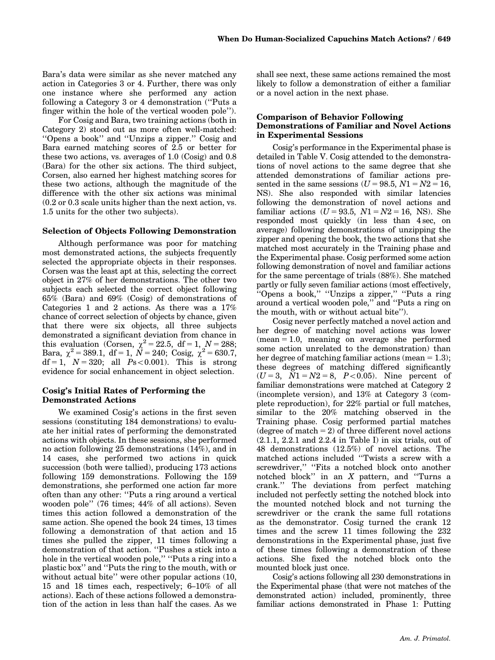Bara's data were similar as she never matched any action in Categories 3 or 4. Further, there was only one instance where she performed any action following a Category 3 or 4 demonstration (''Puts a finger within the hole of the vertical wooden pole'').

For Cosig and Bara, two training actions (both in Category 2) stood out as more often well-matched: ''Opens a book'' and ''Unzips a zipper.'' Cosig and Bara earned matching scores of 2.5 or better for these two actions, vs. averages of 1.0 (Cosig) and 0.8 (Bara) for the other six actions. The third subject, Corsen, also earned her highest matching scores for these two actions, although the magnitude of the difference with the other six actions was minimal (0.2 or 0.3 scale units higher than the next action, vs. 1.5 units for the other two subjects).

## Selection of Objects Following Demonstration

Although performance was poor for matching most demonstrated actions, the subjects frequently selected the appropriate objects in their responses. Corsen was the least apt at this, selecting the correct object in 27% of her demonstrations. The other two subjects each selected the correct object following 65% (Bara) and 69% (Cosig) of demonstrations of Categories 1 and 2 actions. As there was a 17% chance of correct selection of objects by chance, given that there were six objects, all three subjects demonstrated a significant deviation from chance in this evaluation (Corsen,  $\chi^2 = 22.5$ , df = 1, N = 288; Bara,  $\chi^2 = 389.1$ , df = 1,  $\acute{N} = 240$ ; Cosig,  $\chi^2 = 630.7$ ,  $df = 1$ ,  $N = 320$ ; all  $Ps < 0.001$ ). This is strong evidence for social enhancement in object selection.

## Cosig's Initial Rates of Performing the Demonstrated Actions

We examined Cosig's actions in the first seven sessions (constituting 184 demonstrations) to evaluate her initial rates of performing the demonstrated actions with objects. In these sessions, she performed no action following 25 demonstrations (14%), and in 14 cases, she performed two actions in quick succession (both were tallied), producing 173 actions following 159 demonstrations. Following the 159 demonstrations, she performed one action far more often than any other: ''Puts a ring around a vertical wooden pole'' (76 times; 44% of all actions). Seven times this action followed a demonstration of the same action. She opened the book 24 times, 13 times following a demonstration of that action and 15 times she pulled the zipper, 11 times following a demonstration of that action. ''Pushes a stick into a hole in the vertical wooden pole,'' ''Puts a ring into a plastic box'' and ''Puts the ring to the mouth, with or without actual bite'' were other popular actions (10, 15 and 18 times each, respectively; 6–10% of all actions). Each of these actions followed a demonstration of the action in less than half the cases. As we shall see next, these same actions remained the most likely to follow a demonstration of either a familiar or a novel action in the next phase.

## Comparison of Behavior Following Demonstrations of Familiar and Novel Actions in Experimental Sessions

Cosig's performance in the Experimental phase is detailed in Table V. Cosig attended to the demonstrations of novel actions to the same degree that she attended demonstrations of familiar actions presented in the same sessions  $(U = 98.5, N1 = N2 = 16,$ NS). She also responded with similar latencies following the demonstration of novel actions and familiar actions ( $U = 93.5$ ,  $N1 = N2 = 16$ , NS). She responded most quickly (in less than 4 sec, on average) following demonstrations of unzipping the zipper and opening the book, the two actions that she matched most accurately in the Training phase and the Experimental phase. Cosig performed some action following demonstration of novel and familiar actions for the same percentage of trials (88%). She matched partly or fully seven familiar actions (most effectively, ''Opens a book,'' ''Unzips a zipper,'' ''Puts a ring around a vertical wooden pole,'' and ''Puts a ring on the mouth, with or without actual bite'').

Cosig never perfectly matched a novel action and her degree of matching novel actions was lower  $(mean = 1.0, meaning on average she performed)$ some action unrelated to the demonstration) than her degree of matching familiar actions (mean  $= 1.3$ ); these degrees of matching differed significantly  $(U = 3, N1 = N2 = 8, P < 0.05)$ . Nine percent of familiar demonstrations were matched at Category 2 (incomplete version), and 13% at Category 3 (complete reproduction), for 22% partial or full matches, similar to the 20% matching observed in the Training phase. Cosig performed partial matches (degree of match  $= 2$ ) of three different novel actions (2.1.1, 2.2.1 and 2.2.4 in Table I) in six trials, out of 48 demonstrations (12.5%) of novel actions. The matched actions included ''Twists a screw with a screwdriver,'' ''Fits a notched block onto another notched block'' in an X pattern, and ''Turns a crank.'' The deviations from perfect matching included not perfectly setting the notched block into the mounted notched block and not turning the screwdriver or the crank the same full rotations as the demonstrator. Cosig turned the crank 12 times and the screw 11 times following the 232 demonstrations in the Experimental phase, just five of these times following a demonstration of these actions. She fixed the notched block onto the mounted block just once.

Cosig's actions following all 230 demonstrations in the Experimental phase (that were not matches of the demonstrated action) included, prominently, three familiar actions demonstrated in Phase 1: Putting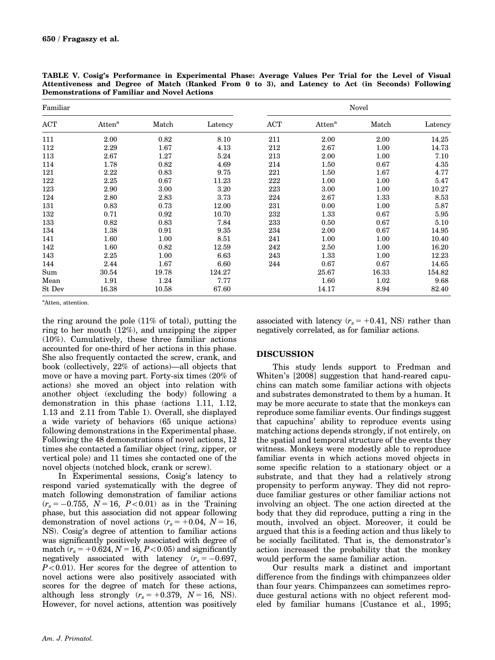| Familiar       |                    |       |         | Novel |                    |       |         |
|----------------|--------------------|-------|---------|-------|--------------------|-------|---------|
| $\mathbf{ACT}$ | Atten <sup>a</sup> | Match | Latency | ACT   | Atten <sup>a</sup> | Match | Latency |
| 111            | 2.00               | 0.82  | 8.10    | 211   | 2.00               | 2.00  | 14.25   |
| 112            | 2.29               | 1.67  | 4.13    | 212   | 2.67               | 1.00  | 14.73   |
| 113            | 2.67               | 1.27  | 5.24    | 213   | 2.00               | 1.00  | 7.10    |
| 114            | 1.78               | 0.82  | 4.69    | 214   | 1.50               | 0.67  | 4.35    |
| 121            | 2.22               | 0.83  | 9.75    | 221   | 1.50               | 1.67  | 4.77    |
| 122            | 2.25               | 0.67  | 11.23   | 222   | 1.00               | 1.00  | 5.47    |
| 123            | 2.90               | 3.00  | 3.20    | 223   | 3.00               | 1.00  | 10.27   |
| 124            | 2.80               | 2.83  | 3.73    | 224   | 2.67               | 1.33  | 8.53    |
| 131            | 0.83               | 0.73  | 12.00   | 231   | 0.00               | 1.00  | 5.87    |
| 132            | 0.71               | 0.92  | 10.70   | 232   | 1.33               | 0.67  | 5.95    |
| 133            | 0.82               | 0.83  | 7.84    | 233   | 0.50               | 0.67  | 5.10    |
| 134            | 1.38               | 0.91  | 9.35    | 234   | 2.00               | 0.67  | 14.95   |
| 141            | 1.60               | 1.00  | 8.51    | 241   | 1.00               | 1.00  | 10.40   |
| 142            | 1.60               | 0.82  | 12.59   | 242   | 2.50               | 1.00  | 16.20   |
| 143            | 2.25               | 1.00  | 6.63    | 243   | 1.33               | 1.00  | 12.23   |
| 144            | 2.44               | 1.67  | 6.60    | 244   | 0.67               | 0.67  | 14.65   |
| Sum            | 30.54              | 19.78 | 124.27  |       | 25.67              | 16.33 | 154.82  |
| Mean           | 1.91               | 1.24  | 7.77    |       | 1.60               | 1.02  | 9.68    |
| St Dev         | 16.38              | 10.58 | 67.60   |       | 14.17              | 8.94  | 82.40   |

TABLE V. Cosig's Performance in Experimental Phase: Average Values Per Trial for the Level of Visual Attentiveness and Degree of Match (Ranked From 0 to 3), and Latency to Act (in Seconds) Following Demonstrations of Familiar and Novel Actions

a Atten, attention.

the ring around the pole (11% of total), putting the ring to her mouth (12%), and unzipping the zipper (10%). Cumulatively, these three familiar actions accounted for one-third of her actions in this phase. She also frequently contacted the screw, crank, and book (collectively, 22% of actions)—all objects that move or have a moving part. Forty-six times (20% of actions) she moved an object into relation with another object (excluding the body) following a demonstration in this phase (actions 1.11, 1.12, 1.13 and 2.11 from Table 1). Overall, she displayed a wide variety of behaviors (65 unique actions) following demonstrations in the Experimental phase. Following the 48 demonstrations of novel actions, 12 times she contacted a familiar object (ring, zipper, or vertical pole) and 11 times she contacted one of the novel objects (notched block, crank or screw).

In Experimental sessions, Cosig's latency to respond varied systematically with the degree of match following demonstration of familiar actions  $(r_s = -0.755, N = 16, P < 0.01)$  as in the Training phase, but this association did not appear following demonstration of novel actions  $(r_s = +0.04, N = 16,$ NS). Cosig's degree of attention to familiar actions was significantly positively associated with degree of match  $(r_s = +0.624, N = 16, P < 0.05)$  and significantly negatively associated with latency  $(r_s = -0.697,$  $P<0.01$ ). Her scores for the degree of attention to novel actions were also positively associated with scores for the degree of match for these actions, although less strongly  $(r_s = +0.379, N = 16, NS)$ . However, for novel actions, attention was positively

associated with latency  $(r_s = +0.41, \text{ NS})$  rather than negatively correlated, as for familiar actions.

# DISCUSSION

This study lends support to Fredman and Whiten's [2008] suggestion that hand-reared capuchins can match some familiar actions with objects and substrates demonstrated to them by a human. It may be more accurate to state that the monkeys can reproduce some familiar events. Our findings suggest that capuchins' ability to reproduce events using matching actions depends strongly, if not entirely, on the spatial and temporal structure of the events they witness. Monkeys were modestly able to reproduce familiar events in which actions moved objects in some specific relation to a stationary object or a substrate, and that they had a relatively strong propensity to perform anyway. They did not reproduce familiar gestures or other familiar actions not involving an object. The one action directed at the body that they did reproduce, putting a ring in the mouth, involved an object. Moreover, it could be argued that this is a feeding action and thus likely to be socially facilitated. That is, the demonstrator's action increased the probability that the monkey would perform the same familiar action.

Our results mark a distinct and important difference from the findings with chimpanzees older than four years. Chimpanzees can sometimes reproduce gestural actions with no object referent modeled by familiar humans [Custance et al., 1995;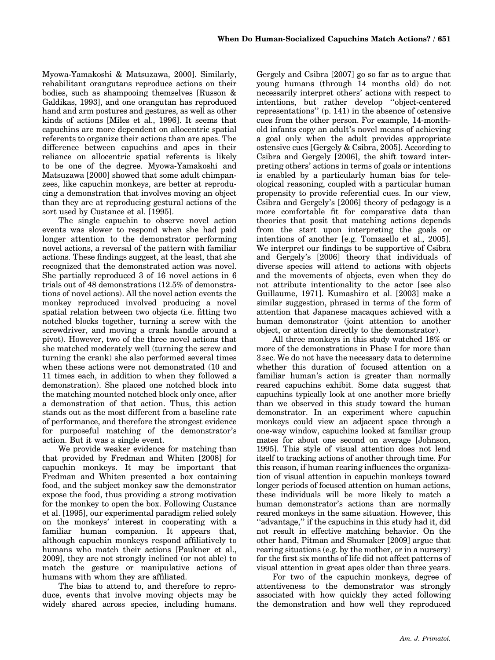Myowa-Yamakoshi & Matsuzawa, 2000]. Similarly, rehabilitant orangutans reproduce actions on their bodies, such as shampooing themselves [Russon & Galdikas, 1993], and one orangutan has reproduced hand and arm postures and gestures, as well as other kinds of actions [Miles et al., 1996]. It seems that capuchins are more dependent on allocentric spatial referents to organize their actions than are apes. The difference between capuchins and apes in their reliance on allocentric spatial referents is likely to be one of the degree. Myowa-Yamakoshi and Matsuzawa [2000] showed that some adult chimpanzees, like capuchin monkeys, are better at reproducing a demonstration that involves moving an object than they are at reproducing gestural actions of the sort used by Custance et al. [1995].

The single capuchin to observe novel action events was slower to respond when she had paid longer attention to the demonstrator performing novel actions, a reversal of the pattern with familiar actions. These findings suggest, at the least, that she recognized that the demonstrated action was novel. She partially reproduced 3 of 16 novel actions in 6 trials out of 48 demonstrations (12.5% of demonstrations of novel actions). All the novel action events the monkey reproduced involved producing a novel spatial relation between two objects (i.e. fitting two notched blocks together, turning a screw with the screwdriver, and moving a crank handle around a pivot). However, two of the three novel actions that she matched moderately well (turning the screw and turning the crank) she also performed several times when these actions were not demonstrated (10 and 11 times each, in addition to when they followed a demonstration). She placed one notched block into the matching mounted notched block only once, after a demonstration of that action. Thus, this action stands out as the most different from a baseline rate of performance, and therefore the strongest evidence for purposeful matching of the demonstrator's action. But it was a single event.

We provide weaker evidence for matching than that provided by Fredman and Whiten [2008] for capuchin monkeys. It may be important that Fredman and Whiten presented a box containing food, and the subject monkey saw the demonstrator expose the food, thus providing a strong motivation for the monkey to open the box. Following Custance et al. [1995], our experimental paradigm relied solely on the monkeys' interest in cooperating with a familiar human companion. It appears that, although capuchin monkeys respond affiliatively to humans who match their actions [Paukner et al., 2009], they are not strongly inclined (or not able) to match the gesture or manipulative actions of humans with whom they are affiliated.

The bias to attend to, and therefore to reproduce, events that involve moving objects may be widely shared across species, including humans.

Gergely and Csibra [2007] go so far as to argue that young humans (through 14 months old) do not necessarily interpret others' actions with respect to intentions, but rather develop ''object-centered representations'' (p. 141) in the absence of ostensive cues from the other person. For example, 14-monthold infants copy an adult's novel means of achieving a goal only when the adult provides appropriate ostensive cues [Gergely & Csibra, 2005]. According to Csibra and Gergely [2006], the shift toward interpreting others' actions in terms of goals or intentions is enabled by a particularly human bias for teleological reasoning, coupled with a particular human propensity to provide referential cues. In our view, Csibra and Gergely's [2006] theory of pedagogy is a more comfortable fit for comparative data than theories that posit that matching actions depends from the start upon interpreting the goals or intentions of another [e.g. Tomasello et al., 2005]. We interpret our findings to be supportive of Csibra and Gergely's [2006] theory that individuals of diverse species will attend to actions with objects and the movements of objects, even when they do not attribute intentionality to the actor [see also Guillaume, 1971]. Kumashiro et al. [2003] make a similar suggestion, phrased in terms of the form of attention that Japanese macaques achieved with a human demonstrator (joint attention to another object, or attention directly to the demonstrator).

All three monkeys in this study watched 18% or more of the demonstrations in Phase I for more than 3 sec. We do not have the necessary data to determine whether this duration of focused attention on a familiar human's action is greater than normally reared capuchins exhibit. Some data suggest that capuchins typically look at one another more briefly than we observed in this study toward the human demonstrator. In an experiment where capuchin monkeys could view an adjacent space through a one-way window, capuchins looked at familiar group mates for about one second on average [Johnson, 1995]. This style of visual attention does not lend itself to tracking actions of another through time. For this reason, if human rearing influences the organization of visual attention in capuchin monkeys toward longer periods of focused attention on human actions, these individuals will be more likely to match a human demonstrator's actions than are normally reared monkeys in the same situation. However, this "advantage," if the capuchins in this study had it, did not result in effective matching behavior. On the other hand, Pitman and Shumaker [2009] argue that rearing situations (e.g. by the mother, or in a nursery) for the first six months of life did not affect patterns of visual attention in great apes older than three years.

For two of the capuchin monkeys, degree of attentiveness to the demonstrator was strongly associated with how quickly they acted following the demonstration and how well they reproduced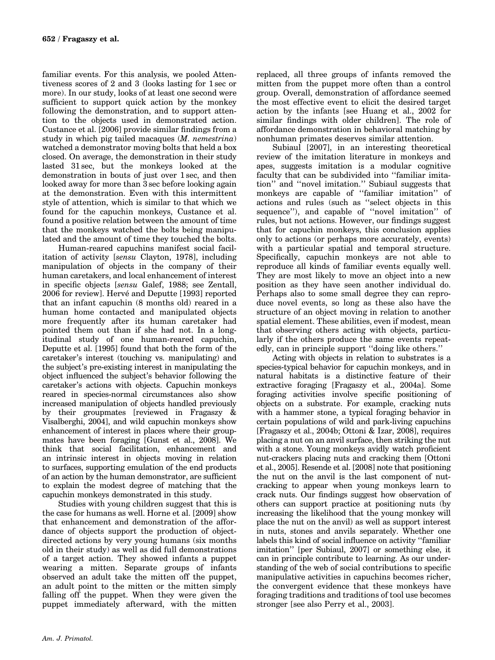familiar events. For this analysis, we pooled Attentiveness scores of 2 and 3 (looks lasting for 1 sec or more). In our study, looks of at least one second were sufficient to support quick action by the monkey following the demonstration, and to support attention to the objects used in demonstrated action. Custance et al. [2006] provide similar findings from a study in which pig tailed macaques (M. nemestrina) watched a demonstrator moving bolts that held a box closed. On average, the demonstration in their study lasted 31 sec, but the monkeys looked at the demonstration in bouts of just over 1 sec, and then looked away for more than 3 sec before looking again at the demonstration. Even with this intermittent style of attention, which is similar to that which we found for the capuchin monkeys, Custance et al. found a positive relation between the amount of time that the monkeys watched the bolts being manipulated and the amount of time they touched the bolts.

Human-reared capuchins manifest social facilitation of activity [sensu Clayton, 1978], including manipulation of objects in the company of their human caretakers, and local enhancement of interest in specific objects [sensu Galef, 1988; see Zentall, 2006 for review]. Hervé and Deputte [1993] reported that an infant capuchin (8 months old) reared in a human home contacted and manipulated objects more frequently after its human caretaker had pointed them out than if she had not. In a longitudinal study of one human-reared capuchin, Deputte et al. [1995] found that both the form of the caretaker's interest (touching vs. manipulating) and the subject's pre-existing interest in manipulating the object influenced the subject's behavior following the caretaker's actions with objects. Capuchin monkeys reared in species-normal circumstances also show increased manipulation of objects handled previously by their groupmates [reviewed in Fragaszy & Visalberghi, 2004], and wild capuchin monkeys show enhancement of interest in places where their groupmates have been foraging [Gunst et al., 2008]. We think that social facilitation, enhancement and an intrinsic interest in objects moving in relation to surfaces, supporting emulation of the end products of an action by the human demonstrator, are sufficient to explain the modest degree of matching that the capuchin monkeys demonstrated in this study.

Studies with young children suggest that this is the case for humans as well. Horne et al. [2009] show that enhancement and demonstration of the affordance of objects support the production of objectdirected actions by very young humans (six months old in their study) as well as did full demonstrations of a target action. They showed infants a puppet wearing a mitten. Separate groups of infants observed an adult take the mitten off the puppet, an adult point to the mitten or the mitten simply falling off the puppet. When they were given the puppet immediately afterward, with the mitten replaced, all three groups of infants removed the mitten from the puppet more often than a control group. Overall, demonstration of affordance seemed the most effective event to elicit the desired target action by the infants [see Huang et al., 2002 for similar findings with older children]. The role of affordance demonstration in behavioral matching by nonhuman primates deserves similar attention.

Subiaul [2007], in an interesting theoretical review of the imitation literature in monkeys and apes, suggests imitation is a modular cognitive faculty that can be subdivided into ''familiar imitation'' and ''novel imitation.'' Subiaul suggests that monkeys are capable of ''familiar imitation'' of actions and rules (such as ''select objects in this sequence''), and capable of ''novel imitation'' of rules, but not actions. However, our findings suggest that for capuchin monkeys, this conclusion applies only to actions (or perhaps more accurately, events) with a particular spatial and temporal structure. Specifically, capuchin monkeys are not able to reproduce all kinds of familiar events equally well. They are most likely to move an object into a new position as they have seen another individual do. Perhaps also to some small degree they can reproduce novel events, so long as these also have the structure of an object moving in relation to another spatial element. These abilities, even if modest, mean that observing others acting with objects, particularly if the others produce the same events repeatedly, can in principle support ''doing like others.''

Acting with objects in relation to substrates is a species-typical behavior for capuchin monkeys, and in natural habitats is a distinctive feature of their extractive foraging [Fragaszy et al., 2004a]. Some foraging activities involve specific positioning of objects on a substrate. For example, cracking nuts with a hammer stone, a typical foraging behavior in certain populations of wild and park-living capuchins [Fragaszy et al., 2004b; Ottoni & Izar, 2008], requires placing a nut on an anvil surface, then striking the nut with a stone. Young monkeys avidly watch proficient nut-crackers placing nuts and cracking them [Ottoni et al., 2005]. Resende et al. [2008] note that positioning the nut on the anvil is the last component of nutcracking to appear when young monkeys learn to crack nuts. Our findings suggest how observation of others can support practice at positioning nuts (by increasing the likelihood that the young monkey will place the nut on the anvil) as well as support interest in nuts, stones and anvils separately. Whether one labels this kind of social influence on activity ''familiar imitation'' [per Subiaul, 2007] or something else, it can in principle contribute to learning. As our understanding of the web of social contributions to specific manipulative activities in capuchins becomes richer, the convergent evidence that these monkeys have foraging traditions and traditions of tool use becomes stronger [see also Perry et al., 2003].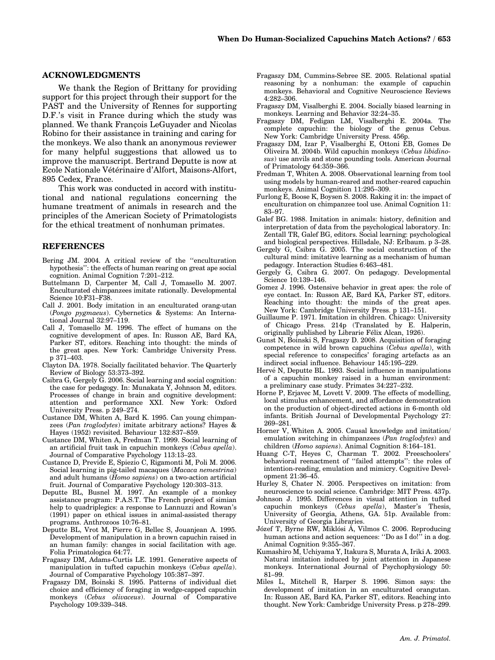#### ACKNOWLEDGMENTS

We thank the Region of Brittany for providing support for this project through their support for the PAST and the University of Rennes for supporting D.F.'s visit in France during which the study was planned. We thank François LeGuyader and Nicolas Robino for their assistance in training and caring for the monkeys. We also thank an anonymous reviewer for many helpful suggestions that allowed us to improve the manuscript. Bertrand Deputte is now at Ecole Nationale Vétérinaire d'Alfort, Maisons-Alfort, 895 Cedex, France.

This work was conducted in accord with institutional and national regulations concerning the humane treatment of animals in research and the principles of the American Society of Primatologists for the ethical treatment of nonhuman primates.

### **REFERENCES**

- Bering JM. 2004. A critical review of the ''enculturation hypothesis'': the effects of human rearing on great ape social cognition. Animal Cognition 7:201–212.
- Buttelmann D, Carpenter M, Call J, Tomasello M. 2007. Enculturated chimpanzees imitate rationally. Developmental Science 10:F31–F38.
- Call J. 2001. Body imitation in an enculturated orang-utan (Pongo pygmaeus). Cybernetics & Systems: An International Journal 32:97–119.
- Call J, Tomasello M. 1996. The effect of humans on the cognitive development of apes. In: Russon AE, Bard KA, Parker ST, editors. Reaching into thought: the minds of the great apes. New York: Cambridge University Press. p 371–403.
- Clayton DA. 1978. Socially facilitated behavior. The Quarterly Review of Biology 53:373–392.
- Csibra G, Gergely G. 2006. Social learning and social cognition: the case for pedagogy. In: Munakata Y, Johnson M, editors. Processes of change in brain and cognitive development: attention and performance XXI. New York: Oxford University Press. p 249–274.
- Custance DM, Whiten A, Bard K. 1995. Can young chimpanzees (Pan troglodytes) imitate arbitrary actions? Hayes & Hayes (1952) revisited. Behaviour 132:837–859.
- Custance DM, Whiten A, Fredman T. 1999. Social learning of an artificial fruit task in capuchin monkeys (Cebus apella). Journal of Comparative Psychology 113:13–23.
- Custance D, Previde E, Spiezio C, Rigamonti M, Poli M. 2006. Social learning in pig-tailed macaques (Macaca nemestrina) and adult humans (Homo sapiens) on a two-action artificial fruit. Journal of Comparative Psychology 120:303–313.
- Deputte BL, Busnel M. 1997. An example of a monkey assistance program: P.A.S.T. The French project of simian help to quadriplegics: a response to Lannuzzi and Rowan's (1991) paper on ethical issues in animal-assisted therapy programs. Anthrozoos 10:76–81.
- Deputte BL, Vrot M, Pierre G, Bellec S, Jouanjean A. 1995. Development of manipulation in a brown capuchin raised in an human family: changes in social facilitation with age. Folia Primatologica 64:77.
- Fragaszy DM, Adams-Curtis LE. 1991. Generative aspects of manipulation in tufted capuchin monkeys (Cebus apella). Journal of Comparative Psychology 105:387–397.
- Fragaszy DM, Boinski S. 1995. Patterns of individual diet choice and efficiency of foraging in wedge-capped capuchin monkeys (Cebus olivaceus). Journal of Comparative Psychology 109:339–348.
- Fragaszy DM, Cummins-Sebree SE. 2005. Relational spatial reasoning by a nonhuman: the example of capuchin monkeys. Behavioral and Cognitive Neuroscience Reviews 4:282–306.
- Fragaszy DM, Visalberghi E. 2004. Socially biased learning in monkeys. Learning and Behavior 32:24–35.
- Fragaszy DM, Fedigan LM, Visalberghi E. 2004a. The complete capuchin: the biology of the genus Cebus. New York: Cambridge University Press. 456p.
- Fragaszy DM, Izar P, Visalberghi E, Ottoni EB, Gomes De Oliveira M. 2004b. Wild capuchin monkeys (Cebus libidinosus) use anvils and stone pounding tools. American Journal of Primatology 64:359–366.
- Fredman T, Whiten A. 2008. Observational learning from tool using models by human-reared and mother-reared capuchin monkeys. Animal Cognition 11:295–309.
- Furlong E, Boose K, Boysen S. 2008. Raking it in: the impact of enculturation on chimpanzee tool use. Animal Cognition 11: 83–97.
- Galef BG. 1988. Imitation in animals: history, definition and interpretation of data from the psychological laboratory. In: Zentall TR, Galef BG, editors. Social learning: psychological and biological perspectives. Hillsdale, NJ: Erlbaum. p 3–28.
- Gergely G, Csibra G. 2005. The social construction of the cultural mind: imitative learning as a mechanism of human pedagogy. Interaction Studies 6:463–481.
- Gergely G, Csibra G. 2007. On pedagogy. Developmental Science 10:139–146.
- Gomez J. 1996. Ostensive behavior in great apes: the role of eye contact. In: Russon AE, Bard KA, Parker ST, editors. Reaching into thought: the minds of the great apes. New York: Cambridge University Press. p 131–151.
- Guillaume P. 1971. Imitation in children. Chicago: University of Chicago Press. 214p (Translated by E. Halperin, originally published by Librarie Félix Alcan, 1926).
- Gunst N, Boinski S, Fragaszy D. 2008. Acquisition of foraging competence in wild brown capuchins (Cebus apella), with special reference to conspecifics' foraging artefacts as an indirect social influence. Behaviour 145:195–229.
- Hervé N, Deputte BL. 1993. Social influence in manipulations of a capuchin monkey raised in a human environment: a preliminary case study. Primates 34:227–232.
- Horne P, Erjavec M, Lovett V. 2009. The effects of modelling, local stimulus enhancement, and affordance demonstration on the production of object-directed actions in 6-month old infants. British Journal of Developmental Psychology 27: 269–281.
- Horner V, Whiten A. 2005. Causal knowledge and imitation/ emulation switching in chimpanzees (Pan troglodytes) and children (Homo sapiens). Animal Cognition 8:164–181.
- Huang C-T, Heyes C, Charman T. 2002. Preeschoolers' behavioral reenactment of ''failed attempts'': the roles of intention-reading, emulation and mimicry. Cognitive Development 21:36–45.
- Hurley S, Chater N. 2005. Perspectives on imitation: from neuroscience to social science. Cambridge: MIT Press. 437p.
- Johnson J. 1995. Differences in visual attention in tufted capuchin monkeys (Cebus apella), Master's Thesis, University of Georgia, Athens, GA. 51p. Available from: University of Georgia Libraries.
- Józef T, Byrne RW, Miklósi Á, Vilmos C. 2006. Reproducing human actions and action sequences: "Do as I do!" in a dog. Animal Cognition 9:355–367.
- Kumashiro M, Uchiyama Y, Itakura S, Murata A, Iriki A. 2003. Natural imitation induced by joint attention in Japanese monkeys. International Journal of Psychophysiology 50: 81–99.
- Miles L, Mitchell R, Harper S. 1996. Simon says: the development of imitation in an enculturated orangutan. In: Russon AE, Bard KA, Parker ST, editors. Reaching into thought. New York: Cambridge University Press. p 278–299.